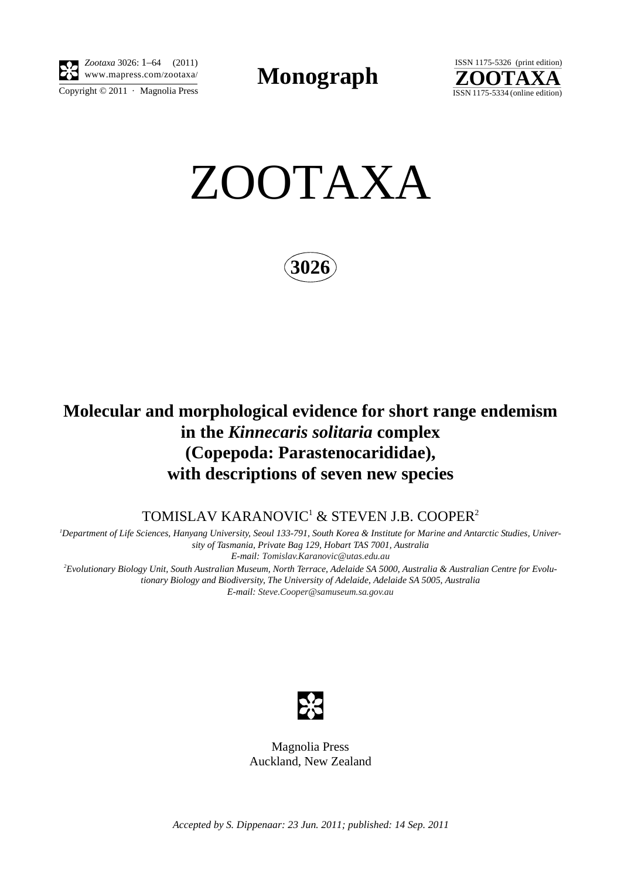

*Zootaxa* 3026: 1–64 (2011) www.mapress.com/zootaxa/ **Monograph**



ZOOTAXA

**3026**

# **Molecular and morphological evidence for short range endemism in the** *Kinnecaris solitaria* **complex (Copepoda: Parastenocarididae), with descriptions of seven new species**

TOMISLAV KARANOVIC $^{\rm 1}$  & STEVEN J.B. COOPER $^{\rm 2}$ 

*1 Department of Life Sciences, Hanyang University, Seoul 133-791, South Korea & Institute for Marine and Antarctic Studies, University of Tasmania, Private Bag 129, Hobart TAS 7001, Australia E-mail: [Tomislav.Karanovic@utas.edu.au](mailto:Tomislav.Karanovic@utas.edu.au) 2 Evolutionary Biology Unit, South Australian Museum, North Terrace, Adelaide SA 5000, Australia & Australian Centre for Evolutionary Biology and Biodiversity, The University of Adelaide, Adelaide SA 5005, Australia*

*E-mail: [Steve.Cooper@samuseum.sa.gov.au](mailto:Steve.Cooper@samuseum.sa.gov.au)*



Magnolia Press Auckland, New Zealand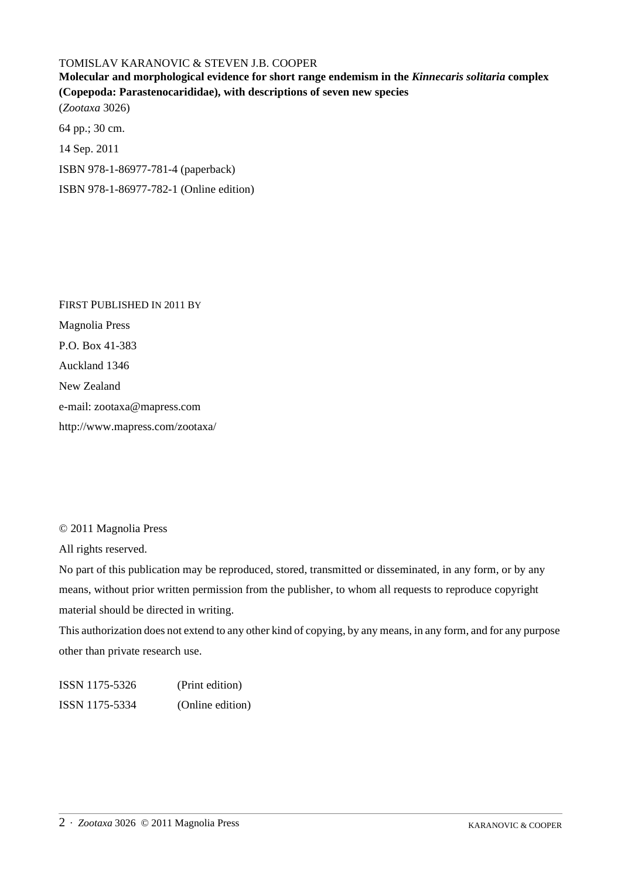## TOMISLAV KARANOVIC & STEVEN J.B. COOPER

**Molecular and morphological evidence for short range endemism in the** *Kinnecaris solitaria* **complex (Copepoda: Parastenocarididae), with descriptions of seven new species** (*Zootaxa* 3026) 64 pp.; 30 cm. 14 Sep. 2011 ISBN 978-1-86977-781-4 (paperback)

ISBN 978-1-86977-782-1 (Online edition)

FIRST PUBLISHED IN 2011 BY Magnolia Press P.O. Box 41-383 Auckland 1346 New Zealand e-mail: zootaxa@mapress.com http://www.mapress.com/zootaxa/

© 2011 Magnolia Press

All rights reserved.

No part of this publication may be reproduced, stored, transmitted or disseminated, in any form, or by any means, without prior written permission from the publisher, to whom all requests to reproduce copyright material should be directed in writing.

This authorization does not extend to any other kind of copying, by any means, in any form, and for any purpose other than private research use.

ISSN 1175-5326 (Print edition) ISSN 1175-5334 (Online edition)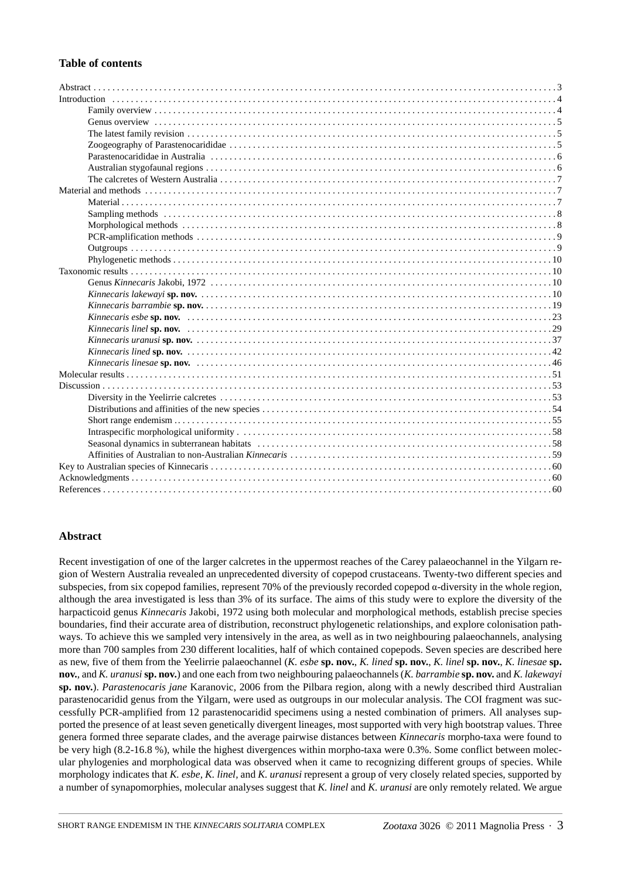### **Table of contents**

#### **Abstract**

Recent investigation of one of the larger calcretes in the uppermost reaches of the Carey palaeochannel in the Yilgarn region of Western Australia revealed an unprecedented diversity of copepod crustaceans. Twenty-two different species and subspecies, from six copepod families, represent 70% of the previously recorded copepod α-diversity in the whole region, although the area investigated is less than 3% of its surface. The aims of this study were to explore the diversity of the harpacticoid genus *Kinnecaris* Jakobi, 1972 using both molecular and morphological methods, establish precise species boundaries, find their accurate area of distribution, reconstruct phylogenetic relationships, and explore colonisation pathways. To achieve this we sampled very intensively in the area, as well as in two neighbouring palaeochannels, analysing more than 700 samples from 230 different localities, half of which contained copepods. Seven species are described here as new, five of them from the Yeelirrie palaeochannel (*K. esbe* **sp. nov.**, *K. lined* **sp. nov.**, *K. linel* **sp. nov.**, *K. linesae* **sp. nov.**, and *K. uranusi* **sp. nov.**) and one each from two neighbouring palaeochannels (*K. barrambie* **sp. nov.** and *K. lakewayi*  **sp. nov.**). *Parastenocaris jane* Karanovic, 2006 from the Pilbara region, along with a newly described third Australian parastenocaridid genus from the Yilgarn, were used as outgroups in our molecular analysis. The COI fragment was successfully PCR-amplified from 12 parastenocaridid specimens using a nested combination of primers. All analyses supported the presence of at least seven genetically divergent lineages, most supported with very high bootstrap values. Three genera formed three separate clades, and the average pairwise distances between *Kinnecaris* morpho-taxa were found to be very high (8.2-16.8 %), while the highest divergences within morpho-taxa were 0.3%. Some conflict between molecular phylogenies and morphological data was observed when it came to recognizing different groups of species. While morphology indicates that *K. esbe, K. linel,* and *K. uranusi* represent a group of very closely related species, supported by a number of synapomorphies, molecular analyses suggest that *K. linel* and *K. uranusi* are only remotely related. We argue